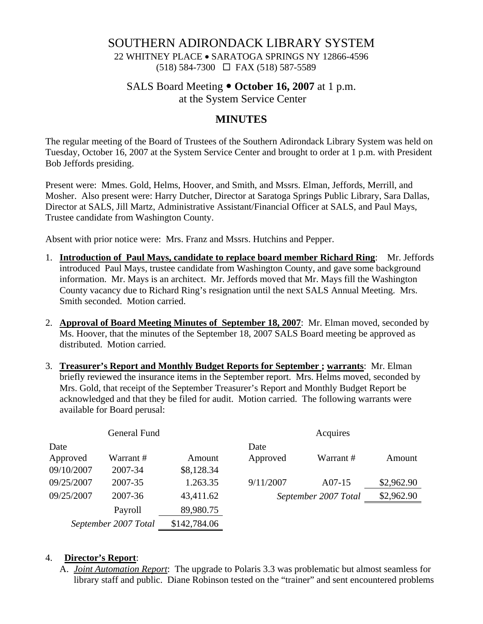## SOUTHERN ADIRONDACK LIBRARY SYSTEM

22 WHITNEY PLACE • SARATOGA SPRINGS NY 12866-4596 (518) 584-7300 FAX (518) 587-5589

#### SALS Board Meeting  $\bullet$  **October 16, 2007** at 1 p.m.

at the System Service Center

### **MINUTES**

The regular meeting of the Board of Trustees of the Southern Adirondack Library System was held on Tuesday, October 16, 2007 at the System Service Center and brought to order at 1 p.m. with President Bob Jeffords presiding.

Present were: Mmes. Gold, Helms, Hoover, and Smith, and Mssrs. Elman, Jeffords, Merrill, and Mosher. Also present were: Harry Dutcher, Director at Saratoga Springs Public Library, Sara Dallas, Director at SALS, Jill Martz, Administrative Assistant/Financial Officer at SALS, and Paul Mays, Trustee candidate from Washington County.

Absent with prior notice were: Mrs. Franz and Mssrs. Hutchins and Pepper.

- 1. **Introduction of Paul Mays, candidate to replace board member Richard Ring**: Mr. Jeffords introduced Paul Mays, trustee candidate from Washington County, and gave some background information. Mr. Mays is an architect. Mr. Jeffords moved that Mr. Mays fill the Washington County vacancy due to Richard Ring's resignation until the next SALS Annual Meeting. Mrs. Smith seconded. Motion carried.
- 2. **Approval of Board Meeting Minutes of September 18, 2007**: Mr. Elman moved, seconded by Ms. Hoover, that the minutes of the September 18, 2007 SALS Board meeting be approved as distributed. Motion carried.
- 3. **Treasurer's Report and Monthly Budget Reports for September ; warrants**: Mr. Elman briefly reviewed the insurance items in the September report. Mrs. Helms moved, seconded by Mrs. Gold, that receipt of the September Treasurer's Report and Monthly Budget Report be acknowledged and that they be filed for audit. Motion carried. The following warrants were available for Board perusal:

| General Fund         |           |              | Acquires             |           |            |
|----------------------|-----------|--------------|----------------------|-----------|------------|
| Date                 |           |              | Date                 |           |            |
| Approved             | Warrant # | Amount       | Approved             | Warrant # | Amount     |
| 09/10/2007           | 2007-34   | \$8,128.34   |                      |           |            |
| 09/25/2007           | 2007-35   | 1.263.35     | 9/11/2007            | $A07-15$  | \$2,962.90 |
| 09/25/2007           | 2007-36   | 43,411.62    | September 2007 Total |           | \$2,962.90 |
|                      | Payroll   | 89,980.75    |                      |           |            |
| September 2007 Total |           | \$142,784.06 |                      |           |            |

#### 4. **Director's Report**:

A. *Joint Automation Report*: The upgrade to Polaris 3.3 was problematic but almost seamless for library staff and public. Diane Robinson tested on the "trainer" and sent encountered problems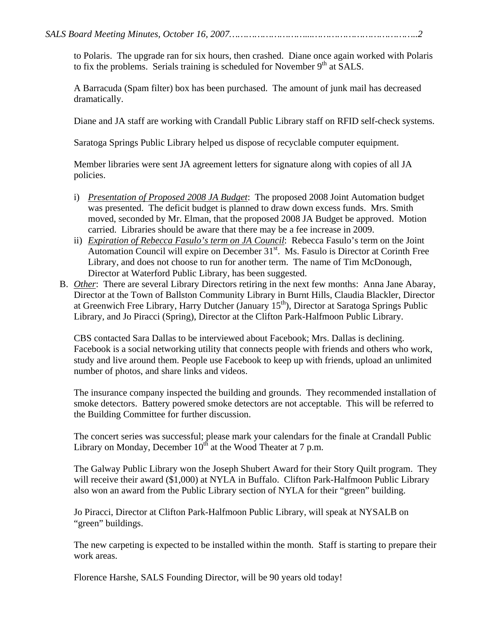to Polaris. The upgrade ran for six hours, then crashed. Diane once again worked with Polaris to fix the problems. Serials training is scheduled for November  $9<sup>th</sup>$  at SALS.

A Barracuda (Spam filter) box has been purchased. The amount of junk mail has decreased dramatically.

Diane and JA staff are working with Crandall Public Library staff on RFID self-check systems.

Saratoga Springs Public Library helped us dispose of recyclable computer equipment.

Member libraries were sent JA agreement letters for signature along with copies of all JA policies.

- i) *Presentation of Proposed 2008 JA Budget*: The proposed 2008 Joint Automation budget was presented. The deficit budget is planned to draw down excess funds. Mrs. Smith moved, seconded by Mr. Elman, that the proposed 2008 JA Budget be approved. Motion carried. Libraries should be aware that there may be a fee increase in 2009.
- ii) *Expiration of Rebecca Fasulo's term on JA Council*: Rebecca Fasulo's term on the Joint Automation Council will expire on December 31<sup>st</sup>. Ms. Fasulo is Director at Corinth Free Library, and does not choose to run for another term. The name of Tim McDonough, Director at Waterford Public Library, has been suggested.
- B. *Other*: There are several Library Directors retiring in the next few months: Anna Jane Abaray, Director at the Town of Ballston Community Library in Burnt Hills, Claudia Blackler, Director at Greenwich Free Library, Harry Dutcher (January 15<sup>th</sup>), Director at Saratoga Springs Public Library, and Jo Piracci (Spring), Director at the Clifton Park-Halfmoon Public Library.

CBS contacted Sara Dallas to be interviewed about Facebook; Mrs. Dallas is declining. Facebook is a social networking utility that connects people with friends and others who work, study and live around them. People use Facebook to keep up with friends, upload an unlimited number of photos, and share links and videos.

The insurance company inspected the building and grounds. They recommended installation of smoke detectors. Battery powered smoke detectors are not acceptable. This will be referred to the Building Committee for further discussion.

The concert series was successful; please mark your calendars for the finale at Crandall Public Library on Monday, December  $10<sup>th</sup>$  at the Wood Theater at 7 p.m.

The Galway Public Library won the Joseph Shubert Award for their Story Quilt program. They will receive their award (\$1,000) at NYLA in Buffalo. Clifton Park-Halfmoon Public Library also won an award from the Public Library section of NYLA for their "green" building.

Jo Piracci, Director at Clifton Park-Halfmoon Public Library, will speak at NYSALB on "green" buildings.

The new carpeting is expected to be installed within the month. Staff is starting to prepare their work areas.

Florence Harshe, SALS Founding Director, will be 90 years old today!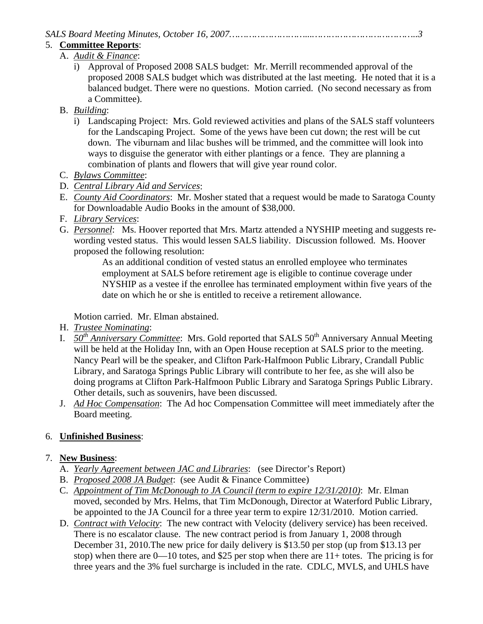#### 5. **Committee Reports**:

- A. *Audit & Finance*:
	- i) Approval of Proposed 2008 SALS budget: Mr. Merrill recommended approval of the proposed 2008 SALS budget which was distributed at the last meeting. He noted that it is a balanced budget. There were no questions. Motion carried. (No second necessary as from a Committee).
- B. *Building*:
	- i) Landscaping Project: Mrs. Gold reviewed activities and plans of the SALS staff volunteers for the Landscaping Project. Some of the yews have been cut down; the rest will be cut down. The viburnam and lilac bushes will be trimmed, and the committee will look into ways to disguise the generator with either plantings or a fence. They are planning a combination of plants and flowers that will give year round color.
- C. *Bylaws Committee*:
- D. *Central Library Aid and Services*:
- E. *County Aid Coordinators*: Mr. Mosher stated that a request would be made to Saratoga County for Downloadable Audio Books in the amount of \$38,000.
- F. *Library Services*:
- G. *Personnel*: Ms. Hoover reported that Mrs. Martz attended a NYSHIP meeting and suggests rewording vested status. This would lessen SALS liability. Discussion followed. Ms. Hoover proposed the following resolution:

As an additional condition of vested status an enrolled employee who terminates employment at SALS before retirement age is eligible to continue coverage under NYSHIP as a vestee if the enrollee has terminated employment within five years of the date on which he or she is entitled to receive a retirement allowance.

Motion carried. Mr. Elman abstained.

- H. *Trustee Nominating*:
- I.  $50<sup>th</sup> Anniversary Committee: Mrs. Gold reported that SALS 50<sup>th</sup> Anniversary Annual Meeting$ will be held at the Holiday Inn, with an Open House reception at SALS prior to the meeting. Nancy Pearl will be the speaker, and Clifton Park-Halfmoon Public Library, Crandall Public Library, and Saratoga Springs Public Library will contribute to her fee, as she will also be doing programs at Clifton Park-Halfmoon Public Library and Saratoga Springs Public Library. Other details, such as souvenirs, have been discussed.
- J. *Ad Hoc Compensation*: The Ad hoc Compensation Committee will meet immediately after the Board meeting.

# 6. **Unfinished Business**:

# 7. **New Business**:

- A. *Yearly Agreement between JAC and Libraries*: (see Director's Report)
- B. *Proposed 2008 JA Budget*: (see Audit & Finance Committee)
- C. *Appointment of Tim McDonough to JA Council (term to expire 12/31/2010)*: Mr. Elman moved, seconded by Mrs. Helms, that Tim McDonough, Director at Waterford Public Library, be appointed to the JA Council for a three year term to expire 12/31/2010. Motion carried.
- D. *Contract with Velocity*: The new contract with Velocity (delivery service) has been received. There is no escalator clause. The new contract period is from January 1, 2008 through December 31, 2010.The new price for daily delivery is \$13.50 per stop (up from \$13.13 per stop) when there are  $0$ —10 totes, and \$25 per stop when there are  $11+$  totes. The pricing is for three years and the 3% fuel surcharge is included in the rate. CDLC, MVLS, and UHLS have